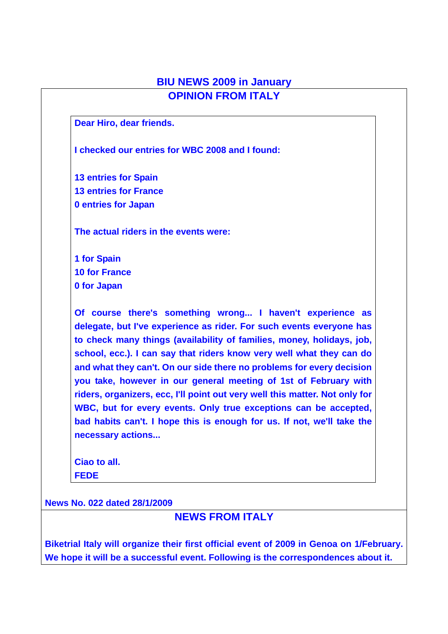### **BIU NEWS 2009 in January OPINION FROM ITALY**

**Dear Hiro, dear friends.** 

**I checked our entries for WBC 2008 and I found:** 

**13 entries for Spain 13 entries for France 0 entries for Japan** 

**The actual riders in the events were:** 

**1 for Spain 10 for France 0 for Japan** 

**Of course there's something wrong... I haven't experience as delegate, but I've experience as rider. For such events everyone has to check many things (availability of families, money, holidays, job, school, ecc.). I can say that riders know very well what they can do and what they can't. On our side there no problems for every decision you take, however in our general meeting of 1st of February with riders, organizers, ecc, I'll point out very well this matter. Not only for WBC, but for every events. Only true exceptions can be accepted, bad habits can't. I hope this is enough for us. If not, we'll take the necessary actions...** 

**Ciao to all. FEDE** 

**News No. 022 dated 28/1/2009**

### **NEWS FROM ITALY**

**Biketrial Italy will organize their first official event of 2009 in Genoa on 1/February. We hope it will be a successful event. Following is the correspondences about it.**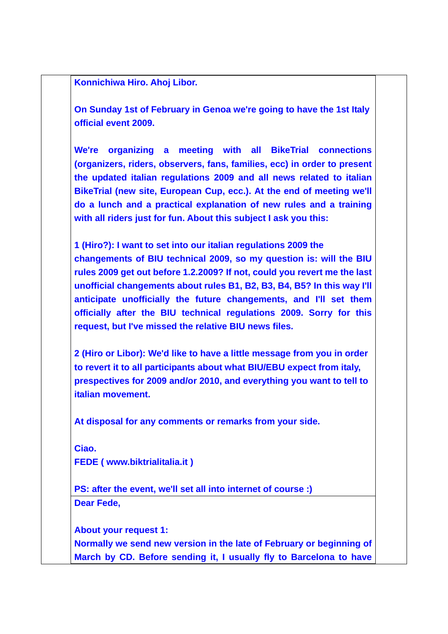**Konnichiwa Hiro. Ahoj Libor.** 

**On Sunday 1st of February in Genoa we're going to have the 1st Italy official event 2009.** 

**We're organizing a meeting with all BikeTrial connections (organizers, riders, observers, fans, families, ecc) in order to present the updated italian regulations 2009 and all news related to italian BikeTrial (new site, European Cup, ecc.). At the end of meeting we'll do a lunch and a practical explanation of new rules and a training with all riders just for fun. About this subject I ask you this:** 

**1 (Hiro?): I want to set into our italian regulations 2009 the changements of BIU technical 2009, so my question is: will the BIU rules 2009 get out before 1.2.2009? If not, could you revert me the last unofficial changements about rules B1, B2, B3, B4, B5? In this way I'll anticipate unofficially the future changements, and I'll set them officially after the BIU technical regulations 2009. Sorry for this request, but I've missed the relative BIU news files.** 

**2 (Hiro or Libor): We'd like to have a little message from you in order to revert it to all participants about what BIU/EBU expect from italy, prespectives for 2009 and/or 2010, and everything you want to tell to italian movement.** 

**At disposal for any comments or remarks from your side.** 

**Ciao. FEDE ( www.biktrialitalia.it )** 

**PS: after the event, we'll set all into internet of course :) Dear Fede,** 

**About your request 1:** 

**Normally we send new version in the late of February or beginning of March by CD. Before sending it, I usually fly to Barcelona to have**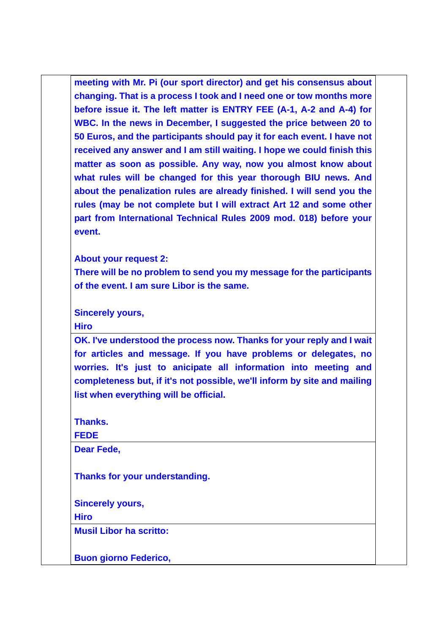**meeting with Mr. Pi (our sport director) and get his consensus about changing. That is a process I took and I need one or tow months more before issue it. The left matter is ENTRY FEE (A-1, A-2 and A-4) for WBC. In the news in December, I suggested the price between 20 to 50 Euros, and the participants should pay it for each event. I have not received any answer and I am still waiting. I hope we could finish this matter as soon as possible. Any way, now you almost know about what rules will be changed for this year thorough BIU news. And about the penalization rules are already finished. I will send you the rules (may be not complete but I will extract Art 12 and some other part from International Technical Rules 2009 mod. 018) before your event.** 

**About your request 2:** 

**There will be no problem to send you my message for the participants of the event. I am sure Libor is the same.** 

**Sincerely yours,** 

**Hiro** 

**OK. I've understood the process now. Thanks for your reply and I wait for articles and message. If you have problems or delegates, no worries. It's just to anicipate all information into meeting and completeness but, if it's not possible, we'll inform by site and mailing list when everything will be official.** 

**Thanks.** 

**FEDE** 

**Dear Fede,** 

**Thanks for your understanding.** 

**Sincerely yours,** 

**Hiro** 

**Musil Libor ha scritto:** 

**Buon giorno Federico,**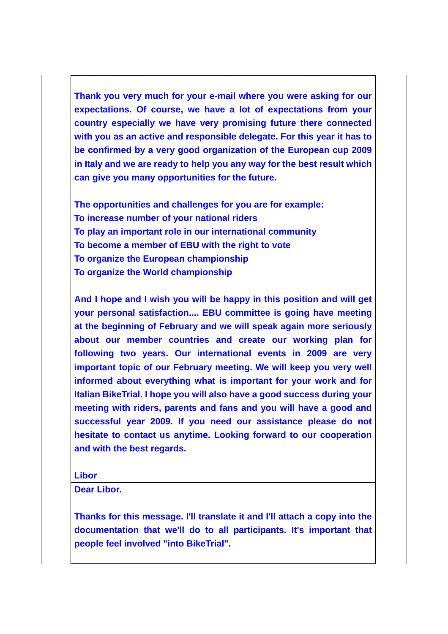**Thank you very much for your e-mail where you were asking for our expectations. Of course, we have a lot of expectations from your country especially we have very promising future there connected with you as an active and responsible delegate. For this year it has to be confirmed by a very good organization of the European cup 2009 in Italy and we are ready to help you any way for the best result which can give you many opportunities for the future.** 

**The opportunities and challenges for you are for example: To increase number of your national riders To play an important role in our international community To become a member of EBU with the right to vote To organize the European championship To organize the World championship** 

**And I hope and I wish you will be happy in this position and will get your personal satisfaction.... EBU committee is going have meeting at the beginning of February and we will speak again more seriously about our member countries and create our working plan for following two years. Our international events in 2009 are very important topic of our February meeting. We will keep you very well informed about everything what is important for your work and for Italian BikeTrial. I hope you will also have a good success during your meeting with riders, parents and fans and you will have a good and successful year 2009. If you need our assistance please do not hesitate to contact us anytime. Looking forward to our cooperation and with the best regards.** 

**Libor** 

**Dear Libor.** 

**Thanks for this message. I'll translate it and I'll attach a copy into the documentation that we'll do to all participants. It's important that people feel involved "into BikeTrial".**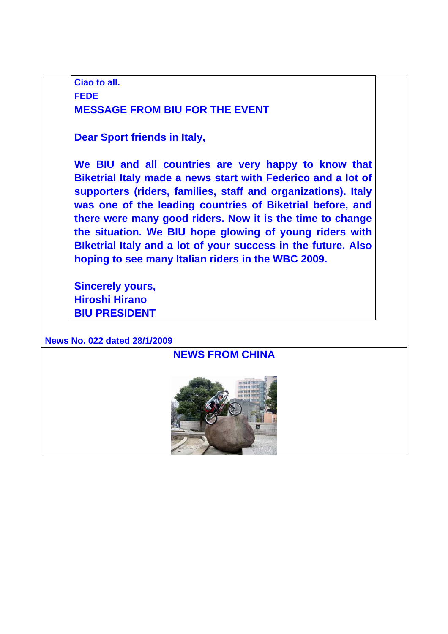**Ciao to all.** 

**FEDE** 

### **MESSAGE FROM BIU FOR THE EVENT**

**Dear Sport friends in Italy,** 

**We BIU and all countries are very happy to know that Biketrial Italy made a news start with Federico and a lot of supporters (riders, families, staff and organizations). Italy was one of the leading countries of Biketrial before, and there were many good riders. Now it is the time to change the situation. We BIU hope glowing of young riders with BIketrial Italy and a lot of your success in the future. Also hoping to see many Italian riders in the WBC 2009.** 

**Sincerely yours, Hiroshi Hirano BIU PRESIDENT**

**News No. 022 dated 28/1/2009**

## **NEWS FROM CHINA**

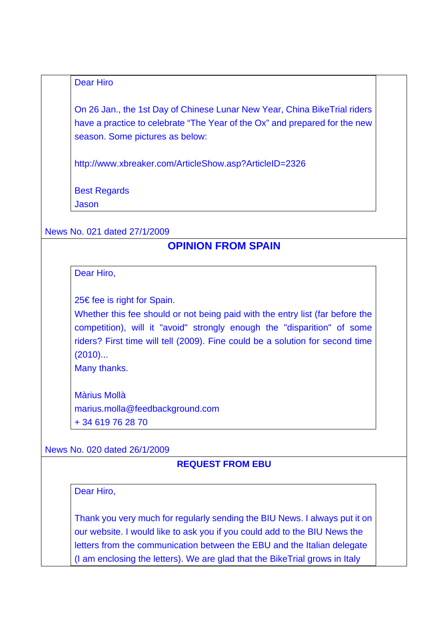#### Dear Hiro

On 26 Jan., the 1st Day of Chinese Lunar New Year, China BikeTrial riders have a practice to celebrate "The Year of the Ox" and prepared for the new season. Some pictures as below:

http://www.xbreaker.com/ArticleShow.asp?ArticleID=2326

Best Regards

Jason

#### News No. 021 dated 27/1/2009

## **OPINION FROM SPAIN**

Dear Hiro,

25€ fee is right for Spain.

Whether this fee should or not being paid with the entry list (far before the competition), will it "avoid" strongly enough the "disparition" of some riders? First time will tell (2009). Fine could be a solution for second time (2010)...

Many thanks.

Màrius Mollà marius.molla@feedbackground.com + 34 619 76 28 70

#### News No. 020 dated 26/1/2009

#### **REQUEST FROM EBU**

Dear Hiro,

Thank you very much for regularly sending the BIU News. I always put it on our website. I would like to ask you if you could add to the BIU News the letters from the communication between the EBU and the Italian delegate (I am enclosing the letters). We are glad that the BikeTrial grows in Italy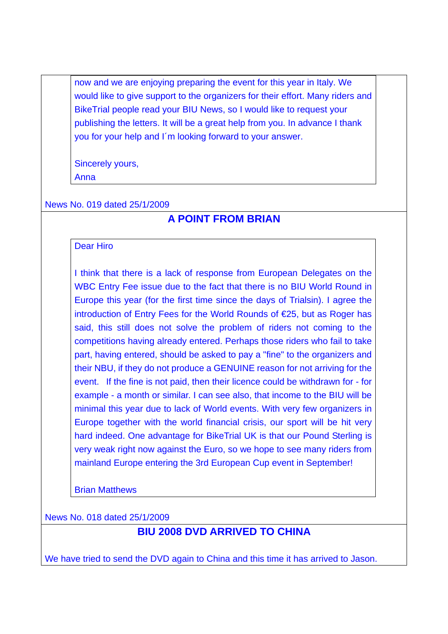now and we are enjoying preparing the event for this year in Italy. We would like to give support to the organizers for their effort. Many riders and BikeTrial people read your BIU News, so I would like to request your publishing the letters. It will be a great help from you. In advance I thank you for your help and I´m looking forward to your answer.

Sincerely yours,

Anna

News No. 019 dated 25/1/2009

# **A POINT FROM BRIAN**

#### Dear Hiro

I think that there is a lack of response from European Delegates on the WBC Entry Fee issue due to the fact that there is no BIU World Round in Europe this year (for the first time since the days of Trialsin). I agree the introduction of Entry Fees for the World Rounds of €25, but as Roger has said, this still does not solve the problem of riders not coming to the competitions having already entered. Perhaps those riders who fail to take part, having entered, should be asked to pay a "fine" to the organizers and their NBU, if they do not produce a GENUINE reason for not arriving for the event. If the fine is not paid, then their licence could be withdrawn for - for example - a month or similar. I can see also, that income to the BIU will be minimal this year due to lack of World events. With very few organizers in Europe together with the world financial crisis, our sport will be hit very hard indeed. One advantage for BikeTrial UK is that our Pound Sterling is very weak right now against the Euro, so we hope to see many riders from mainland Europe entering the 3rd European Cup event in September!

Brian Matthews

News No. 018 dated 25/1/2009

# **BIU 2008 DVD ARRIVED TO CHINA**

We have tried to send the DVD again to China and this time it has arrived to Jason.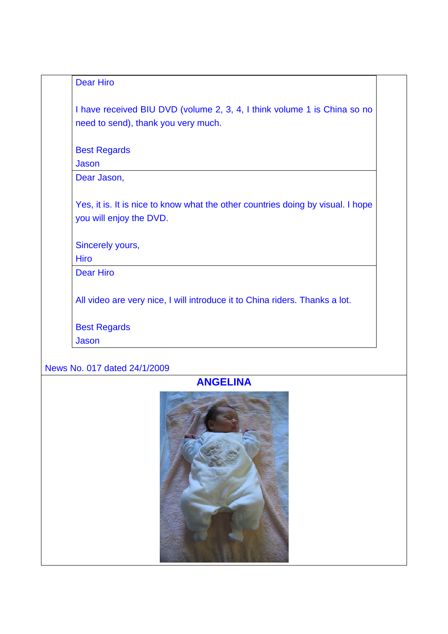### Dear Hiro

I have received BIU DVD (volume 2, 3, 4, I think volume 1 is China so no need to send), thank you very much.

Best Regards

**Jason** 

Dear Jason,

Yes, it is. It is nice to know what the other countries doing by visual. I hope you will enjoy the DVD.

Sincerely yours,

**Hiro** 

Dear Hiro

All video are very nice, I will introduce it to China riders. Thanks a lot.

Best Regards

Jason

### News No. 017 dated 24/1/2009

### **ANGELINA**

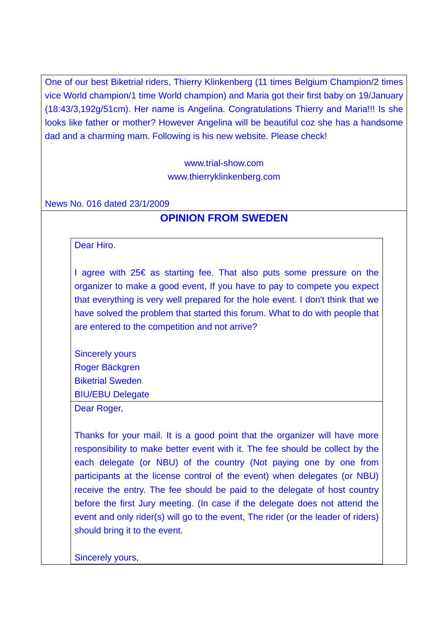One of our best Biketrial riders, Thierry Klinkenberg (11 times Belgium Champion/2 times vice World champion/1 time World champion) and Maria got their first baby on 19/January (18:43/3,192g/51cm). Her name is Angelina. Congratulations Thierry and Maria!!! Is she looks like father or mother? However Angelina will be beautiful coz she has a handsome dad and a charming mam. Following is his new website. Please check!

> www.trial-show.com www.thierryklinkenberg.com

#### News No. 016 dated 23/1/2009

### **OPINION FROM SWEDEN**

#### Dear Hiro.

I agree with 25€ as starting fee. That also puts some pressure on the organizer to make a good event, If you have to pay to compete you expect that everything is very well prepared for the hole event. I don't think that we have solved the problem that started this forum. What to do with people that are entered to the competition and not arrive?

Sincerely yours Roger Bäckgren Biketrial Sweden BIU/EBU Delegate

Dear Roger,

Thanks for your mail. It is a good point that the organizer will have more responsibility to make better event with it. The fee should be collect by the each delegate (or NBU) of the country (Not paying one by one from participants at the license control of the event) when delegates (or NBU) receive the entry. The fee should be paid to the delegate of host country before the first Jury meeting. (In case if the delegate does not attend the event and only rider(s) will go to the event, The rider (or the leader of riders) should bring it to the event.

Sincerely yours,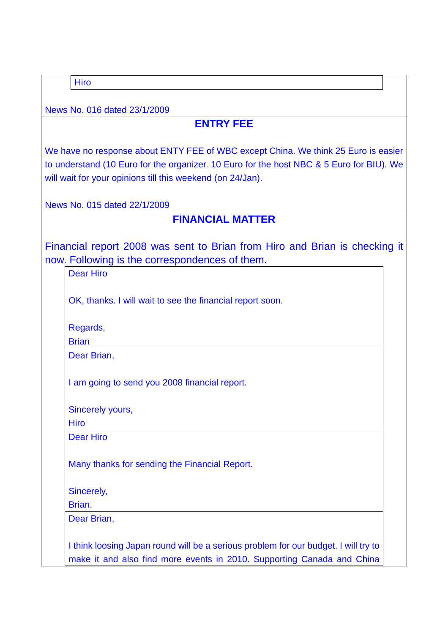Hiro

News No. 016 dated 23/1/2009

# **ENTRY FEE**

We have no response about ENTY FEE of WBC except China. We think 25 Euro is easier to understand (10 Euro for the organizer. 10 Euro for the host NBC & 5 Euro for BIU). We will wait for your opinions till this weekend (on 24/Jan).

News No. 015 dated 22/1/2009

## **FINANCIAL MATTER**

Financial report 2008 was sent to Brian from Hiro and Brian is checking it now. Following is the correspondences of them.

| <b>Dear Hiro</b>                                                                                                                                              |
|---------------------------------------------------------------------------------------------------------------------------------------------------------------|
| OK, thanks. I will wait to see the financial report soon.                                                                                                     |
| Regards,                                                                                                                                                      |
| <b>Brian</b>                                                                                                                                                  |
| Dear Brian,                                                                                                                                                   |
| I am going to send you 2008 financial report.                                                                                                                 |
| Sincerely yours,                                                                                                                                              |
| <b>Hiro</b>                                                                                                                                                   |
| <b>Dear Hiro</b>                                                                                                                                              |
| Many thanks for sending the Financial Report.                                                                                                                 |
| Sincerely,                                                                                                                                                    |
| Brian.                                                                                                                                                        |
| Dear Brian,                                                                                                                                                   |
| I think loosing Japan round will be a serious problem for our budget. I will try to<br>make it and also find more events in 2010. Supporting Canada and China |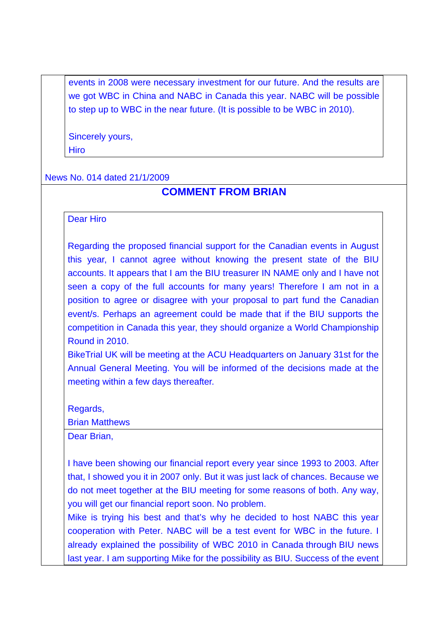events in 2008 were necessary investment for our future. And the results are we got WBC in China and NABC in Canada this year. NABC will be possible to step up to WBC in the near future. (It is possible to be WBC in 2010).

Sincerely yours, **Hiro** 

#### News No. 014 dated 21/1/2009

### **COMMENT FROM BRIAN**

#### Dear Hiro

Regarding the proposed financial support for the Canadian events in August this year, I cannot agree without knowing the present state of the BIU accounts. It appears that I am the BIU treasurer IN NAME only and I have not seen a copy of the full accounts for many years! Therefore I am not in a position to agree or disagree with your proposal to part fund the Canadian event/s. Perhaps an agreement could be made that if the BIU supports the competition in Canada this year, they should organize a World Championship Round in 2010.

BikeTrial UK will be meeting at the ACU Headquarters on January 31st for the Annual General Meeting. You will be informed of the decisions made at the meeting within a few days thereafter.

Regards,

Brian Matthews

Dear Brian,

I have been showing our financial report every year since 1993 to 2003. After that, I showed you it in 2007 only. But it was just lack of chances. Because we do not meet together at the BIU meeting for some reasons of both. Any way, you will get our financial report soon. No problem.

Mike is trying his best and that's why he decided to host NABC this year cooperation with Peter. NABC will be a test event for WBC in the future. I already explained the possibility of WBC 2010 in Canada through BIU news last year. I am supporting Mike for the possibility as BIU. Success of the event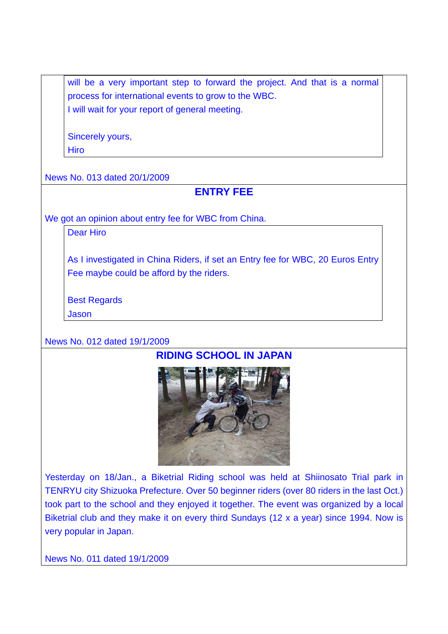will be a very important step to forward the project. And that is a normal process for international events to grow to the WBC. I will wait for your report of general meeting.

Sincerely yours,

**Hiro** 

News No. 013 dated 20/1/2009

# **ENTRY FEE**

We got an opinion about entry fee for WBC from China.

Dear Hiro

As I investigated in China Riders, if set an Entry fee for WBC, 20 Euros Entry Fee maybe could be afford by the riders.

Best Regards

Jason

News No. 012 dated 19/1/2009

# **RIDING SCHOOL IN JAPAN**



Yesterday on 18/Jan., a Biketrial Riding school was held at Shiinosato Trial park in TENRYU city Shizuoka Prefecture. Over 50 beginner riders (over 80 riders in the last Oct.) took part to the school and they enjoyed it together. The event was organized by a local Biketrial club and they make it on every third Sundays (12 x a year) since 1994. Now is very popular in Japan.

News No. 011 dated 19/1/2009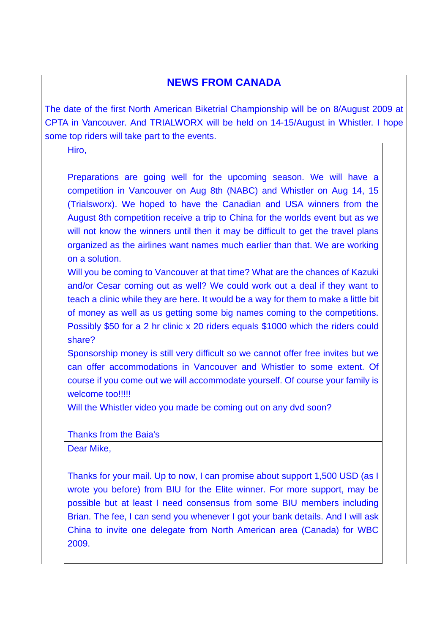## **NEWS FROM CANADA**

The date of the first North American Biketrial Championship will be on 8/August 2009 at CPTA in Vancouver. And TRIALWORX will be held on 14-15/August in Whistler. I hope some top riders will take part to the events.

Hiro,

Preparations are going well for the upcoming season. We will have a competition in Vancouver on Aug 8th (NABC) and Whistler on Aug 14, 15 (Trialsworx). We hoped to have the Canadian and USA winners from the August 8th competition receive a trip to China for the worlds event but as we will not know the winners until then it may be difficult to get the travel plans organized as the airlines want names much earlier than that. We are working on a solution.

Will you be coming to Vancouver at that time? What are the chances of Kazuki and/or Cesar coming out as well? We could work out a deal if they want to teach a clinic while they are here. It would be a way for them to make a little bit of money as well as us getting some big names coming to the competitions. Possibly \$50 for a 2 hr clinic x 20 riders equals \$1000 which the riders could share?

Sponsorship money is still very difficult so we cannot offer free invites but we can offer accommodations in Vancouver and Whistler to some extent. Of course if you come out we will accommodate yourself. Of course your family is welcome too!!!!!

Will the Whistler video you made be coming out on any dvd soon?

Thanks from the Baia's Dear Mike,

Thanks for your mail. Up to now, I can promise about support 1,500 USD (as I wrote you before) from BIU for the Elite winner. For more support, may be possible but at least I need consensus from some BIU members including Brian. The fee, I can send you whenever I got your bank details. And I will ask China to invite one delegate from North American area (Canada) for WBC 2009.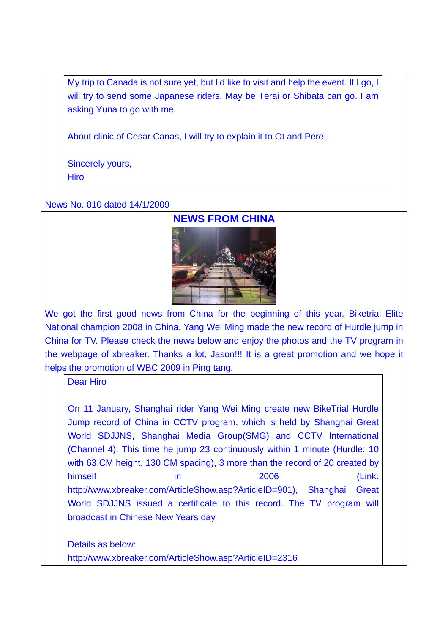My trip to Canada is not sure yet, but I'd like to visit and help the event. If I go, I will try to send some Japanese riders. May be Terai or Shibata can go. I am asking Yuna to go with me.

About clinic of Cesar Canas, I will try to explain it to Ot and Pere.

Sincerely yours, Hiro

News No. 010 dated 14/1/2009



We got the first good news from China for the beginning of this year. Biketrial Elite National champion 2008 in China, Yang Wei Ming made the new record of Hurdle jump in China for TV. Please check the news below and enjoy the photos and the TV program in the webpage of xbreaker. Thanks a lot, Jason!!! It is a great promotion and we hope it helps the promotion of WBC 2009 in Ping tang.

Dear Hiro

On 11 January, Shanghai rider Yang Wei Ming create new BikeTrial Hurdle Jump record of China in CCTV program, which is held by Shanghai Great World SDJJNS, Shanghai Media Group(SMG) and CCTV International (Channel 4). This time he jump 23 continuously within 1 minute (Hurdle: 10 with 63 CM height, 130 CM spacing), 3 more than the record of 20 created by himself in the 2006 (Link: http://www.xbreaker.com/ArticleShow.asp?ArticleID=901), Shanghai Great World SDJJNS issued a certificate to this record. The TV program will broadcast in Chinese New Years day.

Details as below: http://www.xbreaker.com/ArticleShow.asp?ArticleID=2316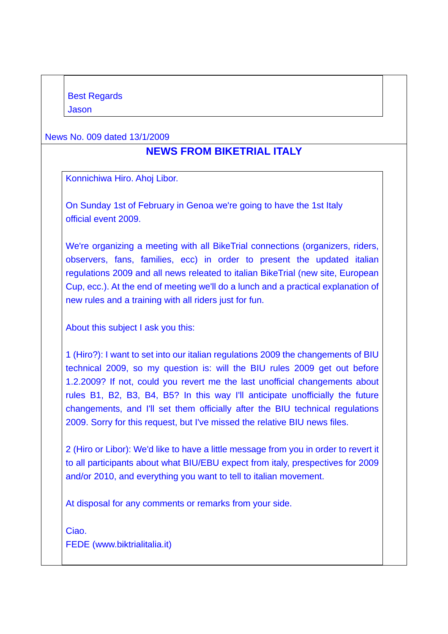News No. 009 dated 13/1/2009

## **NEWS FROM BIKETRIAL ITALY**

Konnichiwa Hiro. Ahoj Libor.

On Sunday 1st of February in Genoa we're going to have the 1st Italy official event 2009.

We're organizing a meeting with all BikeTrial connections (organizers, riders, observers, fans, families, ecc) in order to present the updated italian regulations 2009 and all news releated to italian BikeTrial (new site, European Cup, ecc.). At the end of meeting we'll do a lunch and a practical explanation of new rules and a training with all riders just for fun.

About this subject I ask you this:

1 (Hiro?): I want to set into our italian regulations 2009 the changements of BIU technical 2009, so my question is: will the BIU rules 2009 get out before 1.2.2009? If not, could you revert me the last unofficial changements about rules B1, B2, B3, B4, B5? In this way I'll anticipate unofficially the future changements, and I'll set them officially after the BIU technical regulations 2009. Sorry for this request, but I've missed the relative BIU news files.

2 (Hiro or Libor): We'd like to have a little message from you in order to revert it to all participants about what BIU/EBU expect from italy, prespectives for 2009 and/or 2010, and everything you want to tell to italian movement.

At disposal for any comments or remarks from your side.

Ciao. FEDE (www.biktrialitalia.it)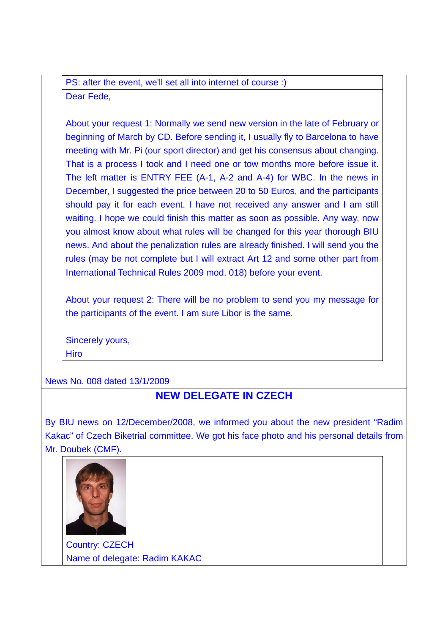PS: after the event, we'll set all into internet of course :) Dear Fede,

About your request 1: Normally we send new version in the late of February or beginning of March by CD. Before sending it, I usually fly to Barcelona to have meeting with Mr. Pi (our sport director) and get his consensus about changing. That is a process I took and I need one or tow months more before issue it. The left matter is ENTRY FEE (A-1, A-2 and A-4) for WBC. In the news in December, I suggested the price between 20 to 50 Euros, and the participants should pay it for each event. I have not received any answer and I am still waiting. I hope we could finish this matter as soon as possible. Any way, now you almost know about what rules will be changed for this year thorough BIU news. And about the penalization rules are already finished. I will send you the rules (may be not complete but I will extract Art 12 and some other part from International Technical Rules 2009 mod. 018) before your event.

About your request 2: There will be no problem to send you my message for the participants of the event. I am sure Libor is the same.

Sincerely yours, Hiro

News No. 008 dated 13/1/2009

## **NEW DELEGATE IN CZECH**

By BIU news on 12/December/2008, we informed you about the new president "Radim Kakac" of Czech Biketrial committee. We got his face photo and his personal details from Mr. Doubek (CMF).



Country: CZECH Name of delegate: Radim KAKAC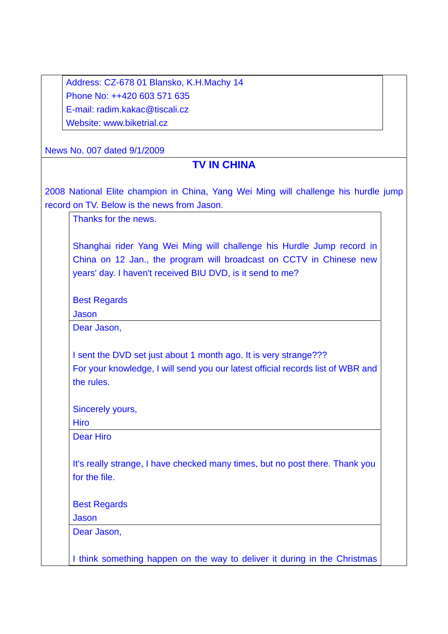| Address: CZ-678 01 Blansko, K.H.Machy 14 |
|------------------------------------------|
| Phone No: ++420 603 571 635              |
| E-mail: radim.kakac@tiscali.cz           |
| Website: www.biketrial.cz                |

News No. 007 dated 9/1/2009

### **TV IN CHINA**

2008 National Elite champion in China, Yang Wei Ming will challenge his hurdle jump record on TV. Below is the news from Jason.

Thanks for the news.

Shanghai rider Yang Wei Ming will challenge his Hurdle Jump record in China on 12 Jan., the program will broadcast on CCTV in Chinese new years' day. I haven't received BIU DVD, is it send to me?

Best Regards

Jason

Dear Jason,

I sent the DVD set just about 1 month ago. It is very strange??? For your knowledge, I will send you our latest official records list of WBR and the rules.

Sincerely yours,

**Hiro** 

Dear Hiro

It's really strange, I have checked many times, but no post there. Thank you for the file.

Best Regards

Jason

Dear Jason,

I think something happen on the way to deliver it during in the Christmas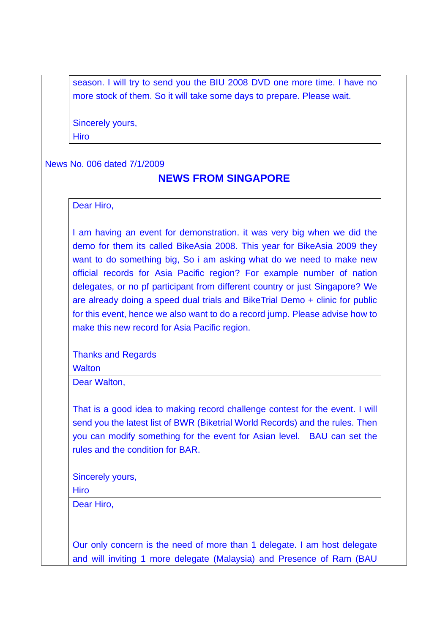season. I will try to send you the BIU 2008 DVD one more time. I have no more stock of them. So it will take some days to prepare. Please wait.

Sincerely yours,

**Hiro** 

#### News No. 006 dated 7/1/2009

### **NEWS FROM SINGAPORE**

Dear Hiro,

I am having an event for demonstration. it was very big when we did the demo for them its called BikeAsia 2008. This year for BikeAsia 2009 they want to do something big. So i am asking what do we need to make new official records for Asia Pacific region? For example number of nation delegates, or no pf participant from different country or just Singapore? We are already doing a speed dual trials and BikeTrial Demo + clinic for public for this event, hence we also want to do a record jump. Please advise how to make this new record for Asia Pacific region.

Thanks and Regards **Walton** 

Dear Walton,

That is a good idea to making record challenge contest for the event. I will send you the latest list of BWR (Biketrial World Records) and the rules. Then you can modify something for the event for Asian level. BAU can set the rules and the condition for BAR.

Sincerely yours,

**Hiro** 

Dear Hiro,

Our only concern is the need of more than 1 delegate. I am host delegate and will inviting 1 more delegate (Malaysia) and Presence of Ram (BAU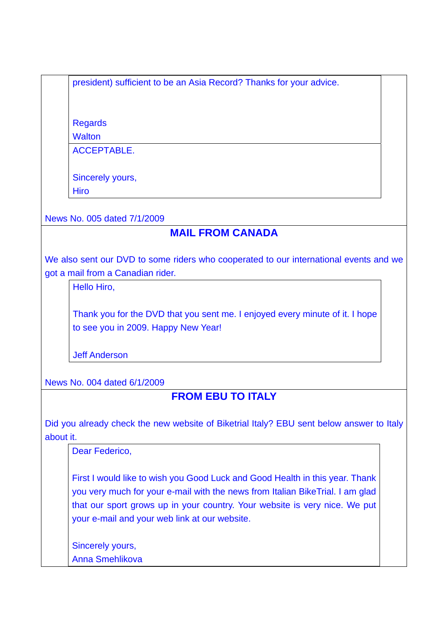president) sufficient to be an Asia Record? Thanks for your advice.

Regards

**Walton** 

ACCEPTABLE.

Sincerely yours,

Hiro

News No. 005 dated 7/1/2009

# **MAIL FROM CANADA**

We also sent our DVD to some riders who cooperated to our international events and we got a mail from a Canadian rider.

Hello Hiro,

Thank you for the DVD that you sent me. I enjoyed every minute of it. I hope to see you in 2009. Happy New Year!

Jeff Anderson

News No. 004 dated 6/1/2009

## **FROM EBU TO ITALY**

Did you already check the new website of Biketrial Italy? EBU sent below answer to Italy about it.

Dear Federico,

First I would like to wish you Good Luck and Good Health in this year. Thank you very much for your e-mail with the news from Italian BikeTrial. I am glad that our sport grows up in your country. Your website is very nice. We put your e-mail and your web link at our website.

Sincerely yours, Anna Smehlikova